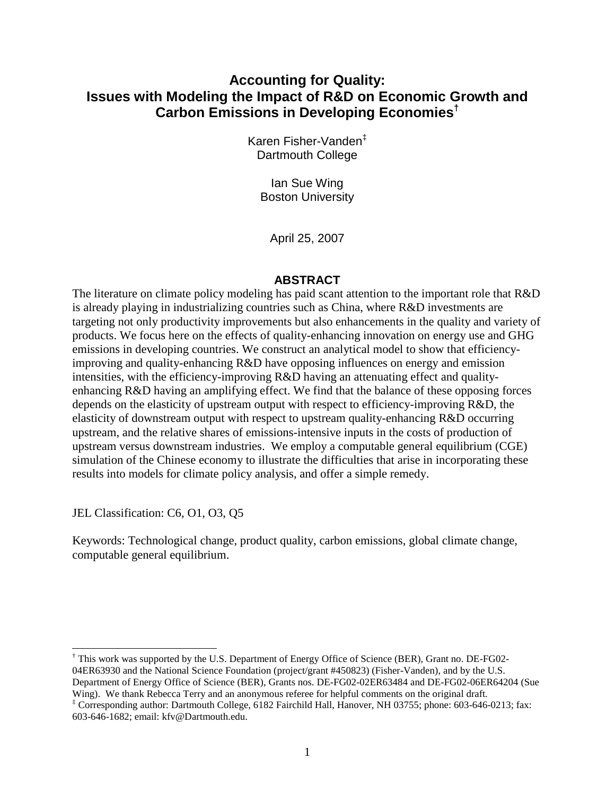# **Accounting for Quality: Issues with Modeling the Impact of R&D on Economic Growth and Carbon Emissions in Developing Economies†**

Karen Fisher-Vanden‡ Dartmouth College

Ian Sue Wing Boston University

April 25, 2007

### **ABSTRACT**

The literature on climate policy modeling has paid scant attention to the important role that R&D is already playing in industrializing countries such as China, where R&D investments are targeting not only productivity improvements but also enhancements in the quality and variety of products. We focus here on the effects of quality-enhancing innovation on energy use and GHG emissions in developing countries. We construct an analytical model to show that efficiencyimproving and quality-enhancing R&D have opposing influences on energy and emission intensities, with the efficiency-improving R&D having an attenuating effect and qualityenhancing R&D having an amplifying effect. We find that the balance of these opposing forces depends on the elasticity of upstream output with respect to efficiency-improving R&D, the elasticity of downstream output with respect to upstream quality-enhancing R&D occurring upstream, and the relative shares of emissions-intensive inputs in the costs of production of upstream versus downstream industries. We employ a computable general equilibrium (CGE) simulation of the Chinese economy to illustrate the difficulties that arise in incorporating these results into models for climate policy analysis, and offer a simple remedy.

JEL Classification: C6, O1, O3, Q5

Keywords: Technological change, product quality, carbon emissions, global climate change, computable general equilibrium.

 $\overline{a}$ † This work was supported by the U.S. Department of Energy Office of Science (BER), Grant no. DE-FG02- 04ER63930 and the National Science Foundation (project/grant #450823) (Fisher-Vanden), and by the U.S. Department of Energy Office of Science (BER), Grants nos. DE-FG02-02ER63484 and DE-FG02-06ER64204 (Sue Wing). We thank Rebecca Terry and an anonymous referee for helpful comments on the original draft.

<sup>‡</sup> Corresponding author: Dartmouth College, 6182 Fairchild Hall, Hanover, NH 03755; phone: 603-646-0213; fax: 603-646-1682; email: kfv@Dartmouth.edu.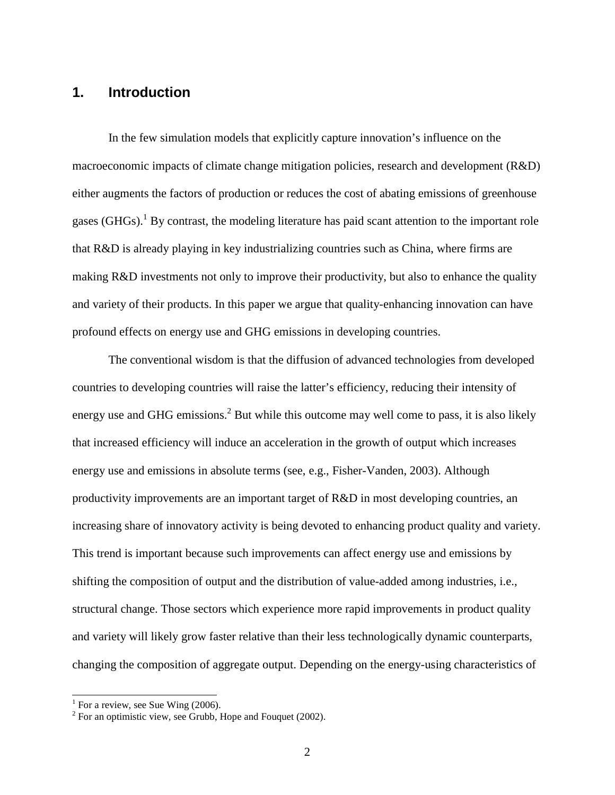# **1. Introduction**

In the few simulation models that explicitly capture innovation's influence on the macroeconomic impacts of climate change mitigation policies, research and development (R&D) either augments the factors of production or reduces the cost of abating emissions of greenhouse gases (GHGs).<sup>1</sup> By contrast, the modeling literature has paid scant attention to the important role that R&D is already playing in key industrializing countries such as China, where firms are making R&D investments not only to improve their productivity, but also to enhance the quality and variety of their products. In this paper we argue that quality-enhancing innovation can have profound effects on energy use and GHG emissions in developing countries.

The conventional wisdom is that the diffusion of advanced technologies from developed countries to developing countries will raise the latter's efficiency, reducing their intensity of energy use and GHG emissions.<sup>2</sup> But while this outcome may well come to pass, it is also likely that increased efficiency will induce an acceleration in the growth of output which increases energy use and emissions in absolute terms (see, e.g., Fisher-Vanden, 2003). Although productivity improvements are an important target of R&D in most developing countries, an increasing share of innovatory activity is being devoted to enhancing product quality and variety. This trend is important because such improvements can affect energy use and emissions by shifting the composition of output and the distribution of value-added among industries, i.e., structural change. Those sectors which experience more rapid improvements in product quality and variety will likely grow faster relative than their less technologically dynamic counterparts, changing the composition of aggregate output. Depending on the energy-using characteristics of

<sup>&</sup>lt;sup>1</sup> For a review, see Sue Wing (2006).

 $2^2$  For an optimistic view, see Grubb, Hope and Fouquet (2002).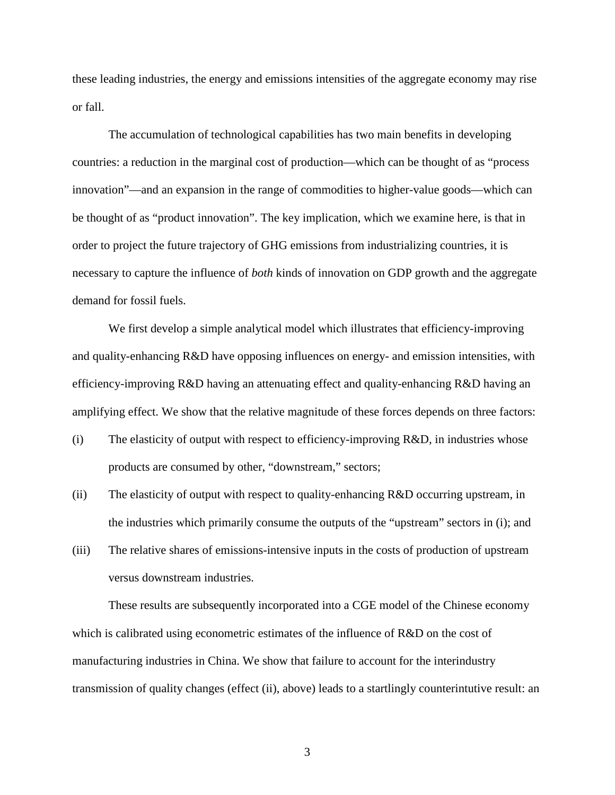these leading industries, the energy and emissions intensities of the aggregate economy may rise or fall.

The accumulation of technological capabilities has two main benefits in developing countries: a reduction in the marginal cost of production—which can be thought of as "process innovation"—and an expansion in the range of commodities to higher-value goods—which can be thought of as "product innovation". The key implication, which we examine here, is that in order to project the future trajectory of GHG emissions from industrializing countries, it is necessary to capture the influence of *both* kinds of innovation on GDP growth and the aggregate demand for fossil fuels.

We first develop a simple analytical model which illustrates that efficiency-improving and quality-enhancing R&D have opposing influences on energy- and emission intensities, with efficiency-improving R&D having an attenuating effect and quality-enhancing R&D having an amplifying effect. We show that the relative magnitude of these forces depends on three factors:

- $(i)$  The elasticity of output with respect to efficiency-improving  $R&D$ , in industries whose products are consumed by other, "downstream," sectors;
- (ii) The elasticity of output with respect to quality-enhancing R&D occurring upstream, in the industries which primarily consume the outputs of the "upstream" sectors in (i); and
- (iii) The relative shares of emissions-intensive inputs in the costs of production of upstream versus downstream industries.

These results are subsequently incorporated into a CGE model of the Chinese economy which is calibrated using econometric estimates of the influence of R&D on the cost of manufacturing industries in China. We show that failure to account for the interindustry transmission of quality changes (effect (ii), above) leads to a startlingly counterintutive result: an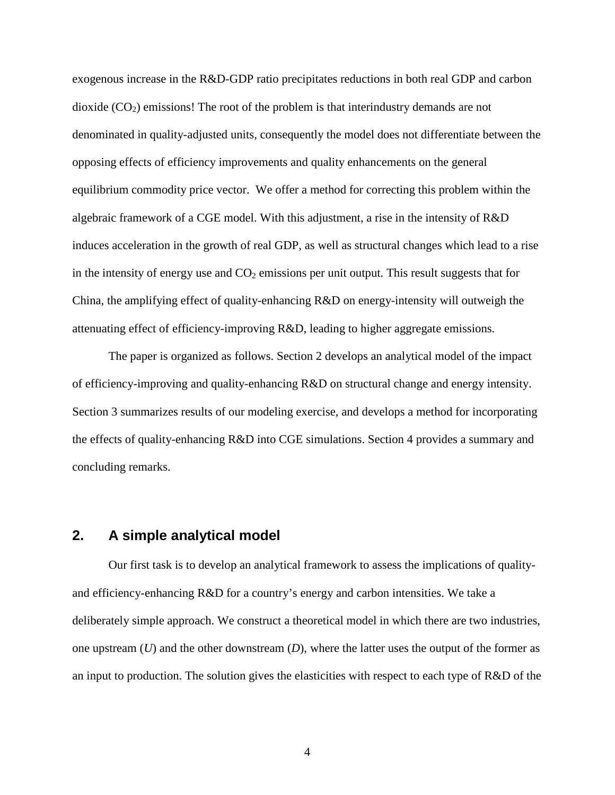exogenous increase in the R&D-GDP ratio precipitates reductions in both real GDP and carbon dioxide  $(CO_2)$  emissions! The root of the problem is that interindustry demands are not denominated in quality-adjusted units, consequently the model does not differentiate between the opposing effects of efficiency improvements and quality enhancements on the general equilibrium commodity price vector. We offer a method for correcting this problem within the algebraic framework of a CGE model. With this adjustment, a rise in the intensity of R&D induces acceleration in the growth of real GDP, as well as structural changes which lead to a rise in the intensity of energy use and  $CO<sub>2</sub>$  emissions per unit output. This result suggests that for China, the amplifying effect of quality-enhancing R&D on energy-intensity will outweigh the attenuating effect of efficiency-improving R&D, leading to higher aggregate emissions.

The paper is organized as follows. Section 2 develops an analytical model of the impact of efficiency-improving and quality-enhancing R&D on structural change and energy intensity. Section 3 summarizes results of our modeling exercise, and develops a method for incorporating the effects of quality-enhancing R&D into CGE simulations. Section 4 provides a summary and concluding remarks.

## **2. A simple analytical model**

Our first task is to develop an analytical framework to assess the implications of qualityand efficiency-enhancing R&D for a country's energy and carbon intensities. We take a deliberately simple approach. We construct a theoretical model in which there are two industries, one upstream (*U*) and the other downstream (*D*), where the latter uses the output of the former as an input to production. The solution gives the elasticities with respect to each type of R&D of the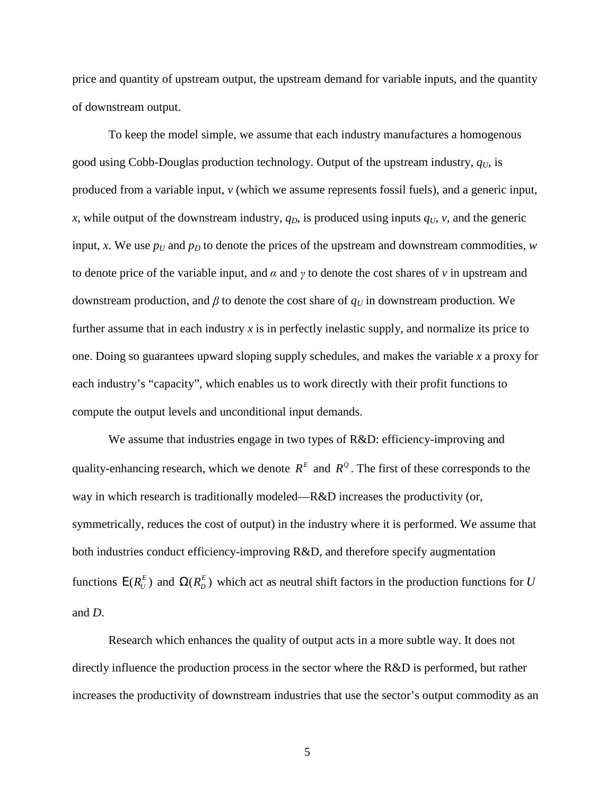price and quantity of upstream output, the upstream demand for variable inputs, and the quantity of downstream output.

To keep the model simple, we assume that each industry manufactures a homogenous good using Cobb-Douglas production technology. Output of the upstream industry, *qU*, is produced from a variable input, *v* (which we assume represents fossil fuels), and a generic input, *x*, while output of the downstream industry,  $q_D$ , is produced using inputs  $q_U$ , *v*, and the generic input, *x*. We use  $p_U$  and  $p_D$  to denote the prices of the upstream and downstream commodities, *w* to denote price of the variable input, and  $\alpha$  and  $\gamma$  to denote the cost shares of  $\nu$  in upstream and downstream production, and *β* to denote the cost share of  $q<sub>U</sub>$  in downstream production. We further assume that in each industry *x* is in perfectly inelastic supply, and normalize its price to one. Doing so guarantees upward sloping supply schedules, and makes the variable *x* a proxy for each industry's "capacity", which enables us to work directly with their profit functions to compute the output levels and unconditional input demands.

We assume that industries engage in two types of R&D: efficiency-improving and quality-enhancing research, which we denote  $R^E$  and  $R^Q$ . The first of these corresponds to the way in which research is traditionally modeled—R&D increases the productivity (or, symmetrically, reduces the cost of output) in the industry where it is performed. We assume that both industries conduct efficiency-improving R&D, and therefore specify augmentation functions  $E(R_U^E)$  and  $\Omega(R_D^E)$  which act as neutral shift factors in the production functions for *U* and *D*.

Research which enhances the quality of output acts in a more subtle way. It does not directly influence the production process in the sector where the R&D is performed, but rather increases the productivity of downstream industries that use the sector's output commodity as an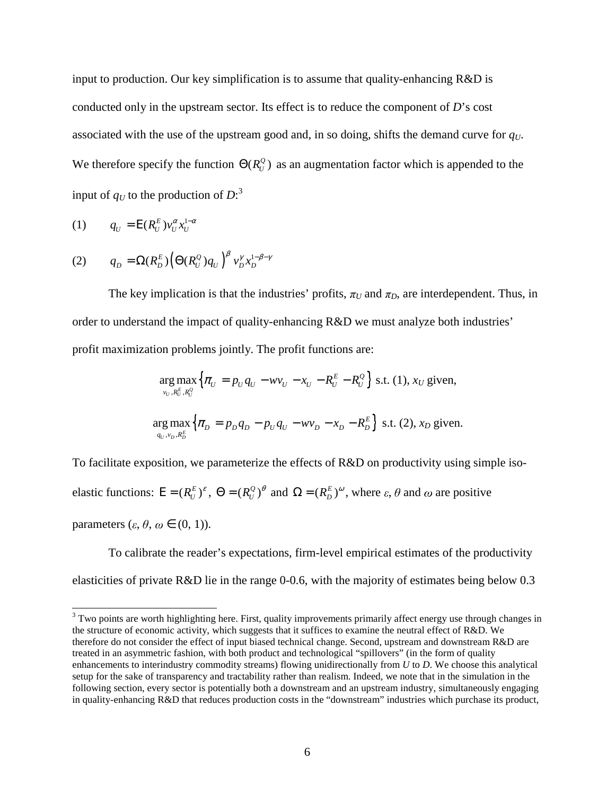input to production. Our key simplification is to assume that quality-enhancing R&D is conducted only in the upstream sector. Its effect is to reduce the component of *D*'s cost associated with the use of the upstream good and, in so doing, shifts the demand curve for *qU*. We therefore specify the function  $\Theta(R_U^Q)$  as an augmentation factor which is appended to the input of  $q_U$  to the production of  $D$ :<sup>3</sup>

$$
(1) \qquad q_U = \mathcal{E}(R_U^E) v_U^{\alpha} x_U^{1-\alpha}
$$

$$
(2) \tq_D = \Omega(R_D^E) \Big(\Theta(R_U^Q) q_U\Big)^{\beta} v_D^{\gamma} x_D^{1-\beta-\gamma}
$$

The key implication is that the industries' profits,  $\pi_U$  and  $\pi_D$ , are interdependent. Thus, in order to understand the impact of quality-enhancing R&D we must analyze both industries' profit maximization problems jointly. The profit functions are:

$$
\underset{v_U, R_U^E, R_U^G}{\arg \max} \Big\{ \pi_U = p_U q_U - w v_U - x_U - R_U^E - R_U^Q \Big\} \text{ s.t. (1), } x_U \text{ given,}
$$
\n
$$
\underset{q_U, v_D, R_D^E}{\arg \max} \Big\{ \pi_D = p_D q_D - p_U q_U - w v_D - x_D - R_D^E \Big\} \text{ s.t. (2), } x_D \text{ given.}
$$

To facilitate exposition, we parameterize the effects of R&D on productivity using simple isoelastic functions:  $E = (R_U^E)^{\varepsilon}$ ,  $\Theta = (R_U^Q)^{\theta}$  and  $\Omega = (R_D^E)^{\omega}$ , where  $\varepsilon$ ,  $\theta$  and  $\omega$  are positive parameters  $(\varepsilon, \theta, \omega \in (0, 1)).$ 

To calibrate the reader's expectations, firm-level empirical estimates of the productivity elasticities of private R&D lie in the range 0-0.6, with the majority of estimates being below 0.3

<sup>&</sup>lt;sup>3</sup> Two points are worth highlighting here. First, quality improvements primarily affect energy use through changes in the structure of economic activity, which suggests that it suffices to examine the neutral effect of R&D. We therefore do not consider the effect of input biased technical change. Second, upstream and downstream R&D are treated in an asymmetric fashion, with both product and technological "spillovers" (in the form of quality enhancements to interindustry commodity streams) flowing unidirectionally from *U* to *D*. We choose this analytical setup for the sake of transparency and tractability rather than realism. Indeed, we note that in the simulation in the following section, every sector is potentially both a downstream and an upstream industry, simultaneously engaging in quality-enhancing R&D that reduces production costs in the "downstream" industries which purchase its product,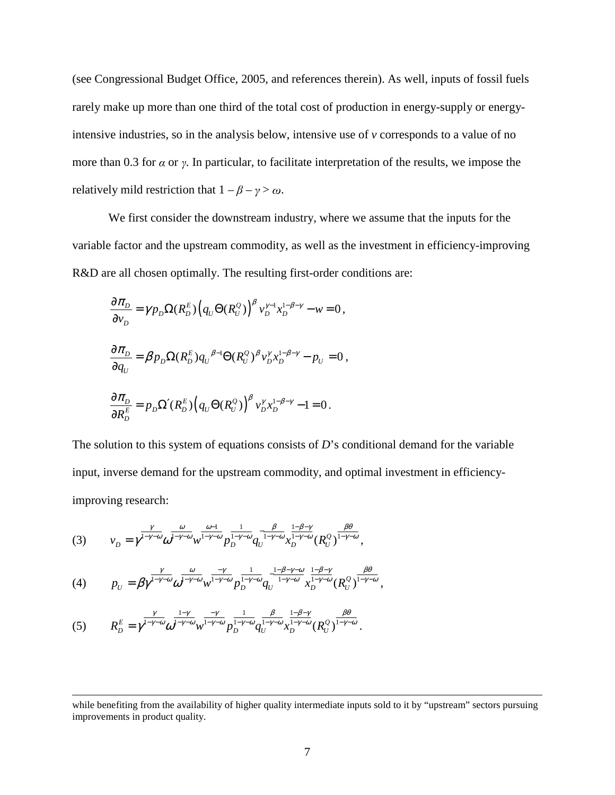(see Congressional Budget Office, 2005, and references therein). As well, inputs of fossil fuels rarely make up more than one third of the total cost of production in energy-supply or energyintensive industries, so in the analysis below, intensive use of *v* corresponds to a value of no more than 0.3 for  $\alpha$  or  $\gamma$ . In particular, to facilitate interpretation of the results, we impose the relatively mild restriction that  $1 - \beta - \gamma > \omega$ .

We first consider the downstream industry, where we assume that the inputs for the variable factor and the upstream commodity, as well as the investment in efficiency-improving R&D are all chosen optimally. The resulting first-order conditions are:

$$
\frac{\partial \pi_D}{\partial v_D} = \gamma p_D \Omega(R_D^E) \Big( q_U \Theta(R_U^Q) \Big)^{\beta} v_D^{\gamma - 1} x_D^{1 - \beta - \gamma} - w = 0,
$$
  

$$
\frac{\partial \pi_D}{\partial q_U} = \beta p_D \Omega(R_D^E) q_U^{\beta - 1} \Theta(R_U^Q)^{\beta} v_D^{\gamma} x_D^{1 - \beta - \gamma} - p_U = 0,
$$
  

$$
\frac{\partial \pi_D}{\partial R_D^E} = p_D \Omega'(R_D^E) \Big( q_U \Theta(R_U^Q) \Big)^{\beta} v_D^{\gamma} x_D^{1 - \beta - \gamma} - 1 = 0.
$$

The solution to this system of equations consists of *D*'s conditional demand for the variable input, inverse demand for the upstream commodity, and optimal investment in efficiencyimproving research:

(3) 
$$
v_D = \gamma^{\frac{\gamma}{1-\gamma-\omega}} \omega^{\frac{\omega}{1-\gamma-\omega}} w^{\frac{\omega-1}{1-\gamma-\omega}} p_D^{\frac{1}{1-\gamma-\omega}} q_U^{-\frac{\beta}{1-\gamma-\omega}} x_D^{\frac{1-\beta-\gamma}{1-\gamma-\omega}} (R_U^{\mathcal{Q}})^{\frac{\beta\theta}{1-\gamma-\omega}},
$$

(4) 
$$
p_{U} = \beta \gamma^{\frac{\gamma}{1-\gamma-\omega}} \omega^{\frac{\omega}{1-\gamma-\omega}} w^{\frac{\gamma}{1-\gamma-\omega}} p_{D}^{\frac{1}{1-\gamma-\omega}} q_{U}^{\frac{1-\beta-\gamma-\omega}{1-\gamma-\omega}} x_{D}^{\frac{1-\beta-\gamma}{1-\gamma-\omega}} (R_{U}^{Q})^{\frac{\beta\theta}{1-\gamma-\omega}},
$$

$$
(5) \qquad R_D^E = \gamma^{\frac{\gamma}{1-\gamma-\omega}} \omega^{\frac{1-\gamma}{1-\gamma-\omega}} w^{\frac{-\gamma}{1-\gamma-\omega}} P_D^{\frac{1}{1-\gamma-\omega}} q_U^{\frac{\beta}{1-\gamma-\omega}} x_D^{\frac{1-\beta-\gamma}{1-\gamma-\omega}} (R_U^Q)^{\frac{\beta\theta}{1-\gamma-\omega}}.
$$

 $\overline{a}$ 

while benefiting from the availability of higher quality intermediate inputs sold to it by "upstream" sectors pursuing improvements in product quality.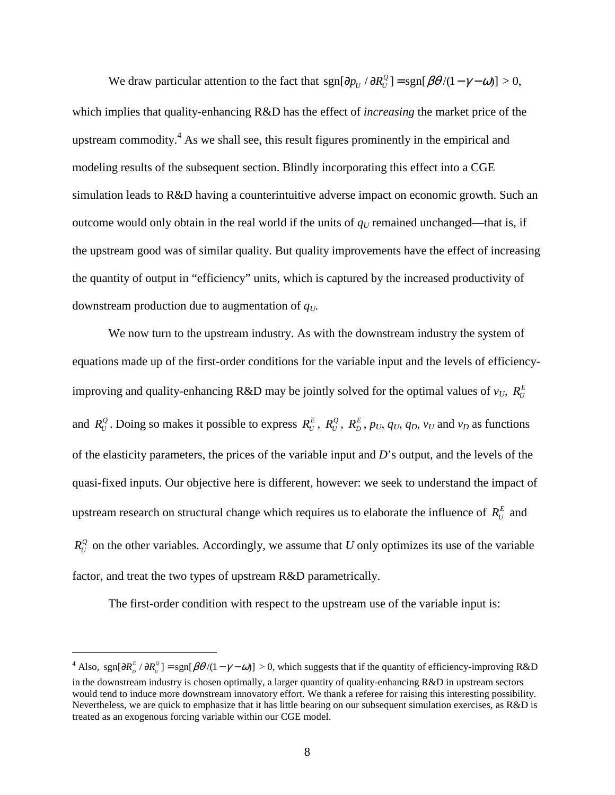We draw particular attention to the fact that  $sgn[\partial p_U / \partial R_U^Q] = sgn[\beta \theta / (1 - \gamma - \omega)] > 0$ , which implies that quality-enhancing R&D has the effect of *increasing* the market price of the upstream commodity.<sup>4</sup> As we shall see, this result figures prominently in the empirical and modeling results of the subsequent section. Blindly incorporating this effect into a CGE simulation leads to R&D having a counterintuitive adverse impact on economic growth. Such an outcome would only obtain in the real world if the units of  $q<sub>U</sub>$  remained unchanged—that is, if the upstream good was of similar quality. But quality improvements have the effect of increasing the quantity of output in "efficiency" units, which is captured by the increased productivity of downstream production due to augmentation of *qU.*

We now turn to the upstream industry. As with the downstream industry the system of equations made up of the first-order conditions for the variable input and the levels of efficiencyimproving and quality-enhancing R&D may be jointly solved for the optimal values of  $v_U$ ,  $R_U^E$ and  $R_U^Q$ . Doing so makes it possible to express  $R_U^E$ ,  $R_U^Q$ ,  $R_D^E$ ,  $p_U$ ,  $q_U$ ,  $q_D$ ,  $v_U$  and  $v_D$  as functions of the elasticity parameters, the prices of the variable input and *D*'s output, and the levels of the quasi-fixed inputs. Our objective here is different, however: we seek to understand the impact of upstream research on structural change which requires us to elaborate the influence of  $R_U^E$  and  $R_U^Q$  on the other variables. Accordingly, we assume that *U* only optimizes its use of the variable factor, and treat the two types of upstream R&D parametrically.

The first-order condition with respect to the upstream use of the variable input is:

 $\overline{a}$ 

<sup>&</sup>lt;sup>4</sup> Also, sgn[ $\partial R_{D}^{E}/\partial R_{U}^{Q}$ ] = sgn[ $\beta\theta/(1-\gamma-\omega)$ ] > 0, which suggests that if the quantity of efficiency-improving R&D in the downstream industry is chosen optimally, a larger quantity of quality-enhancing R&D in upstream sectors would tend to induce more downstream innovatory effort. We thank a referee for raising this interesting possibility. Nevertheless, we are quick to emphasize that it has little bearing on our subsequent simulation exercises, as R&D is treated as an exogenous forcing variable within our CGE model.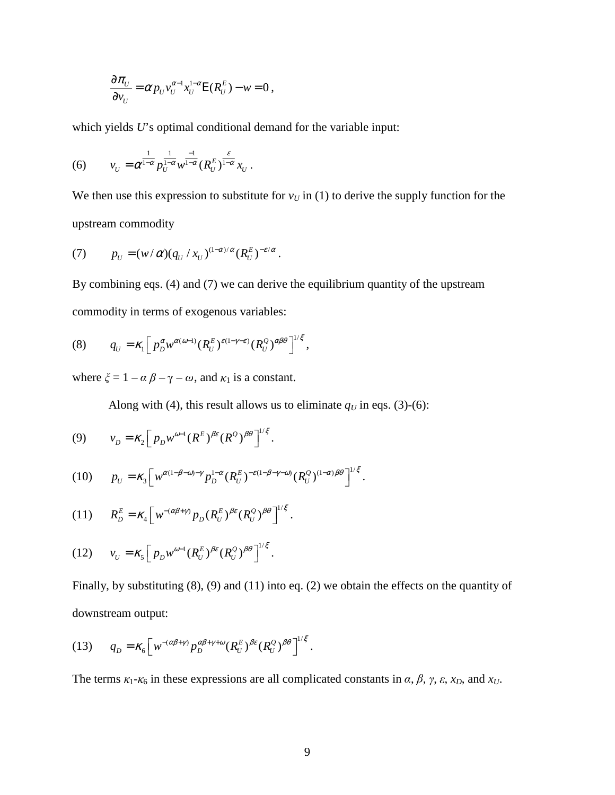$$
\frac{\partial \pi_{U}}{\partial v_{U}} = \alpha p_{U} v_{U}^{\alpha-1} x_{U}^{1-\alpha} E(R_{U}^{E}) - w = 0 ,
$$

which yields *U*'s optimal conditional demand for the variable input:

(6) 
$$
v_U = \alpha^{\frac{1}{1-\alpha}} p_U^{\frac{1}{1-\alpha}} w^{\frac{-1}{1-\alpha}} (R_U^E)^{\frac{\varepsilon}{1-\alpha}} x_U.
$$

We then use this expression to substitute for  $v<sub>U</sub>$  in (1) to derive the supply function for the upstream commodity

(7) 
$$
p_U = (w/\alpha)(q_U/x_U)^{(1-\alpha)/\alpha}(R_U^E)^{-\varepsilon/\alpha}.
$$

By combining eqs. (4) and (7) we can derive the equilibrium quantity of the upstream commodity in terms of exogenous variables:

(8) 
$$
q_U = \kappa_1 \Big[ p_D^{\alpha} w^{\alpha(\omega-1)} (R_U^E)^{\varepsilon(1-\gamma-\varepsilon)} (R_U^Q)^{\alpha\beta\theta} \Big]^{1/\xi},
$$

where  $\xi = 1 - \alpha \beta - \gamma - \omega$ , and  $\kappa_1$  is a constant.

Along with (4), this result allows us to eliminate  $q<sub>U</sub>$  in eqs. (3)-(6):

$$
(9) \t v_D = \kappa_2 \Big[ p_D w^{\omega - 1} (R^E)^{\beta \varepsilon} (R^Q)^{\beta \theta} \Big]^{1/\xi}.
$$

$$
(10) \t p_U = \kappa_3 \Big[ w^{\alpha(1-\beta-\omega)-\gamma} p_D^{1-\alpha} (R_U^E)^{-\varepsilon(1-\beta-\gamma-\omega)} (R_U^Q)^{(1-\alpha)\beta\theta} \Big]^{1/\xi}.
$$

$$
(11) \t R_D^E = \kappa_4 \Big[ w^{-(\alpha\beta+\gamma)} p_D (R_U^E)^{\beta\epsilon} (R_U^Q)^{\beta\theta} \Big]^{1/\xi}.
$$

$$
(12) \t v_U = \kappa_5 \Big[ p_D w^{\omega-1} (R_U^E)^{\beta \varepsilon} (R_U^Q)^{\beta \theta} \Big]^{1/\xi}.
$$

Finally, by substituting (8), (9) and (11) into eq. (2) we obtain the effects on the quantity of downstream output:

$$
(13) \tq_D = \kappa_6 \Big[ w^{-(\alpha\beta+\gamma)} p_D^{\alpha\beta+\gamma+\omega} (R_U^E)^{\beta\varepsilon} (R_U^Q)^{\beta\theta} \Big]^{1/\xi}.
$$

The terms  $\kappa_1$ - $\kappa_6$  in these expressions are all complicated constants in  $\alpha$ ,  $\beta$ ,  $\gamma$ ,  $\varepsilon$ ,  $x_D$ , and  $x_U$ .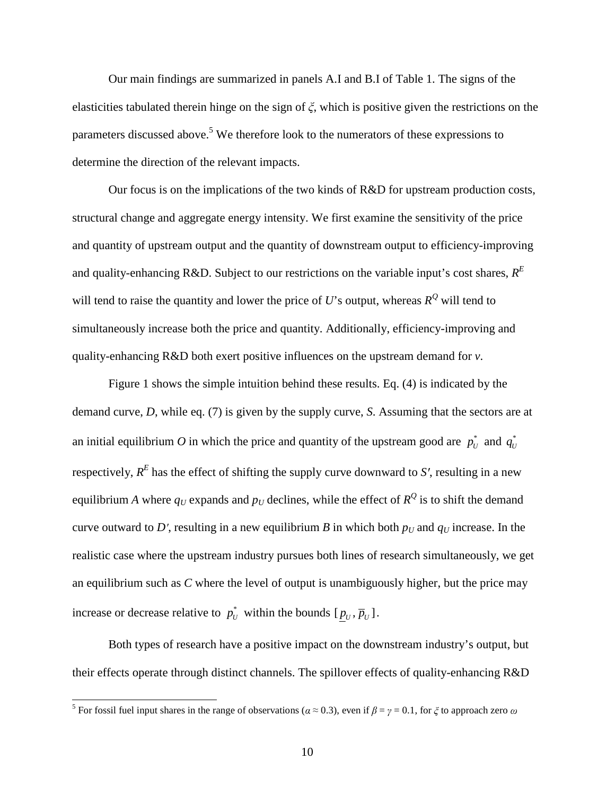Our main findings are summarized in panels A.I and B.I of Table 1. The signs of the elasticities tabulated therein hinge on the sign of ξ, which is positive given the restrictions on the parameters discussed above.<sup>5</sup> We therefore look to the numerators of these expressions to determine the direction of the relevant impacts.

Our focus is on the implications of the two kinds of R&D for upstream production costs, structural change and aggregate energy intensity. We first examine the sensitivity of the price and quantity of upstream output and the quantity of downstream output to efficiency-improving and quality-enhancing R&D. Subject to our restrictions on the variable input's cost shares, *R E* will tend to raise the quantity and lower the price of  $U$ 's output, whereas  $R^Q$  will tend to simultaneously increase both the price and quantity. Additionally, efficiency-improving and quality-enhancing R&D both exert positive influences on the upstream demand for *v*.

Figure 1 shows the simple intuition behind these results. Eq. (4) is indicated by the demand curve, *D*, while eq. (7) is given by the supply curve, *S*. Assuming that the sectors are at an initial equilibrium O in which the price and quantity of the upstream good are  $p_U^*$  and  $q_U^*$ respectively,  $R^E$  has the effect of shifting the supply curve downward to S', resulting in a new equilibrium *A* where  $q_U$  expands and  $p_U$  declines, while the effect of  $R^Q$  is to shift the demand curve outward to D', resulting in a new equilibrium *B* in which both  $p<sub>U</sub>$  and  $q<sub>U</sub>$  increase. In the realistic case where the upstream industry pursues both lines of research simultaneously, we get an equilibrium such as *C* where the level of output is unambiguously higher, but the price may increase or decrease relative to  $p_U^*$  within the bounds  $[p_U, \overline{p}_U]$ .

Both types of research have a positive impact on the downstream industry's output, but their effects operate through distinct channels. The spillover effects of quality-enhancing R&D

<sup>&</sup>lt;sup>5</sup> For fossil fuel input shares in the range of observations ( $\alpha \approx 0.3$ ), even if  $\beta = \gamma = 0.1$ , for  $\zeta$  to approach zero  $\omega$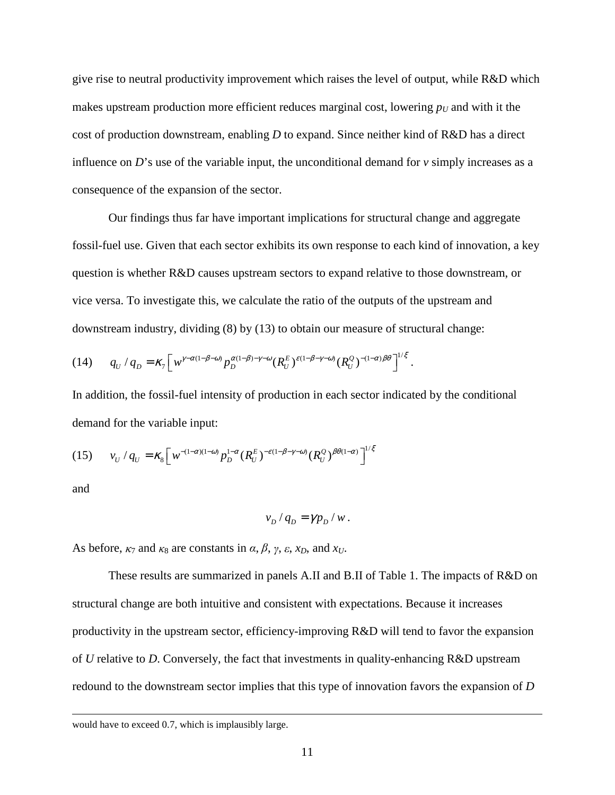give rise to neutral productivity improvement which raises the level of output, while R&D which makes upstream production more efficient reduces marginal cost, lowering  $p<sub>U</sub>$  and with it the cost of production downstream, enabling *D* to expand. Since neither kind of R&D has a direct influence on  $D$ 's use of the variable input, the unconditional demand for  $v$  simply increases as a consequence of the expansion of the sector.

Our findings thus far have important implications for structural change and aggregate fossil-fuel use. Given that each sector exhibits its own response to each kind of innovation, a key question is whether R&D causes upstream sectors to expand relative to those downstream, or vice versa. To investigate this, we calculate the ratio of the outputs of the upstream and downstream industry, dividing (8) by (13) to obtain our measure of structural change:

$$
(14) \tq q_U/q_D = \kappa_7 \Big[ w^{\gamma-\alpha(1-\beta-\omega)} p_D^{\alpha(1-\beta)-\gamma-\omega} (R_U^E)^{\varepsilon(1-\beta-\gamma-\omega)} (R_U^Q)^{-(1-\alpha)\beta\theta} \Big]^{1/\xi}.
$$

In addition, the fossil-fuel intensity of production in each sector indicated by the conditional demand for the variable input:

$$
(15) \t v_U / q_U = \kappa_8 \Big[ w^{-(1-\alpha)(1-\omega)} p_D^{1-\alpha} (R_U^E)^{-\varepsilon(1-\beta-\gamma-\omega)} (R_U^Q)^{\beta\theta(1-\alpha)} \Big]^{1/\xi}
$$

and

 $\overline{a}$ 

$$
v_D / q_D = \gamma p_D / w.
$$

As before,  $\kappa_7$  and  $\kappa_8$  are constants in  $\alpha$ ,  $\beta$ ,  $\gamma$ ,  $\varepsilon$ ,  $x_D$ , and  $x_U$ .

These results are summarized in panels A.II and B.II of Table 1. The impacts of R&D on structural change are both intuitive and consistent with expectations. Because it increases productivity in the upstream sector, efficiency-improving R&D will tend to favor the expansion of *U* relative to *D*. Conversely, the fact that investments in quality-enhancing R&D upstream redound to the downstream sector implies that this type of innovation favors the expansion of *D*

would have to exceed 0.7, which is implausibly large.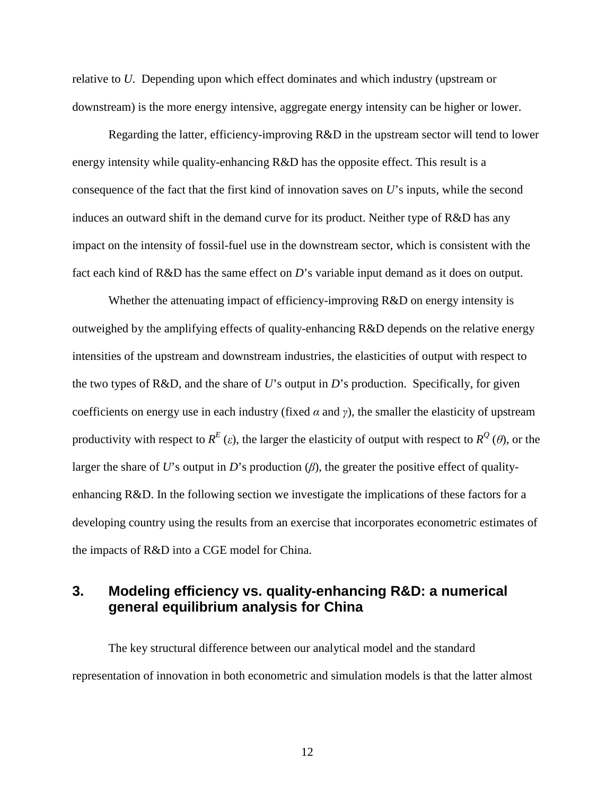relative to *U*. Depending upon which effect dominates and which industry (upstream or downstream) is the more energy intensive, aggregate energy intensity can be higher or lower.

Regarding the latter, efficiency-improving R&D in the upstream sector will tend to lower energy intensity while quality-enhancing R&D has the opposite effect. This result is a consequence of the fact that the first kind of innovation saves on *U*'s inputs, while the second induces an outward shift in the demand curve for its product. Neither type of R&D has any impact on the intensity of fossil-fuel use in the downstream sector, which is consistent with the fact each kind of R&D has the same effect on *D*'s variable input demand as it does on output.

Whether the attenuating impact of efficiency-improving R&D on energy intensity is outweighed by the amplifying effects of quality-enhancing R&D depends on the relative energy intensities of the upstream and downstream industries, the elasticities of output with respect to the two types of R&D, and the share of *U*'s output in *D*'s production. Specifically, for given coefficients on energy use in each industry (fixed  $\alpha$  and  $\gamma$ ), the smaller the elasticity of upstream productivity with respect to  $R^E(\varepsilon)$ , the larger the elasticity of output with respect to  $R^Q(\theta)$ , or the larger the share of *U*'s output in *D*'s production  $(\beta)$ , the greater the positive effect of qualityenhancing R&D. In the following section we investigate the implications of these factors for a developing country using the results from an exercise that incorporates econometric estimates of the impacts of R&D into a CGE model for China.

## **3. Modeling efficiency vs. quality-enhancing R&D: a numerical general equilibrium analysis for China**

The key structural difference between our analytical model and the standard representation of innovation in both econometric and simulation models is that the latter almost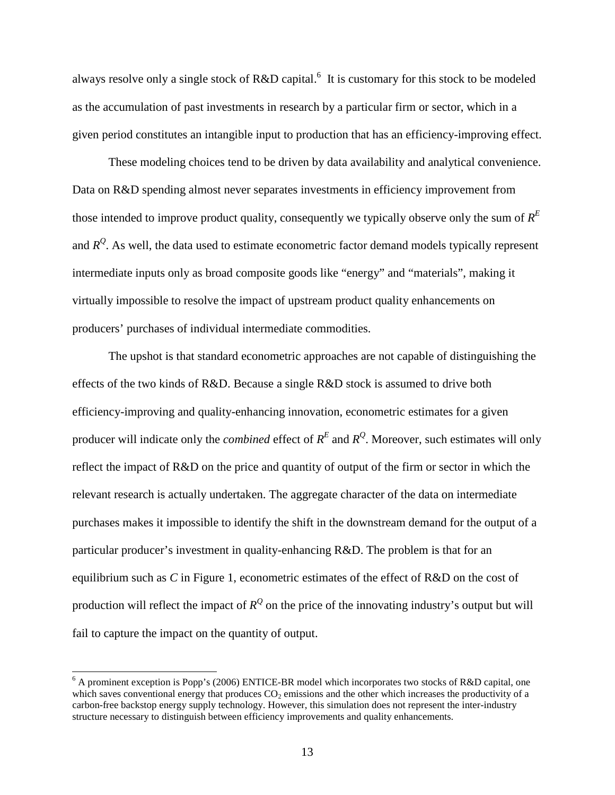always resolve only a single stock of R&D capital.<sup>6</sup> It is customary for this stock to be modeled as the accumulation of past investments in research by a particular firm or sector, which in a given period constitutes an intangible input to production that has an efficiency-improving effect.

These modeling choices tend to be driven by data availability and analytical convenience. Data on R&D spending almost never separates investments in efficiency improvement from those intended to improve product quality, consequently we typically observe only the sum of *R E* and  $R^Q$ . As well, the data used to estimate econometric factor demand models typically represent intermediate inputs only as broad composite goods like "energy" and "materials", making it virtually impossible to resolve the impact of upstream product quality enhancements on producers' purchases of individual intermediate commodities.

The upshot is that standard econometric approaches are not capable of distinguishing the effects of the two kinds of R&D. Because a single R&D stock is assumed to drive both efficiency-improving and quality-enhancing innovation, econometric estimates for a given producer will indicate only the *combined* effect of  $R<sup>E</sup>$  and  $R<sup>Q</sup>$ . Moreover, such estimates will only reflect the impact of R&D on the price and quantity of output of the firm or sector in which the relevant research is actually undertaken. The aggregate character of the data on intermediate purchases makes it impossible to identify the shift in the downstream demand for the output of a particular producer's investment in quality-enhancing R&D. The problem is that for an equilibrium such as *C* in Figure 1, econometric estimates of the effect of R&D on the cost of production will reflect the impact of  $R^Q$  on the price of the innovating industry's output but will fail to capture the impact on the quantity of output.

 $\overline{\phantom{a}}$ 

<sup>&</sup>lt;sup>6</sup> A prominent exception is Popp's (2006) ENTICE-BR model which incorporates two stocks of R&D capital, one which saves conventional energy that produces  $CO<sub>2</sub>$  emissions and the other which increases the productivity of a carbon-free backstop energy supply technology. However, this simulation does not represent the inter-industry structure necessary to distinguish between efficiency improvements and quality enhancements.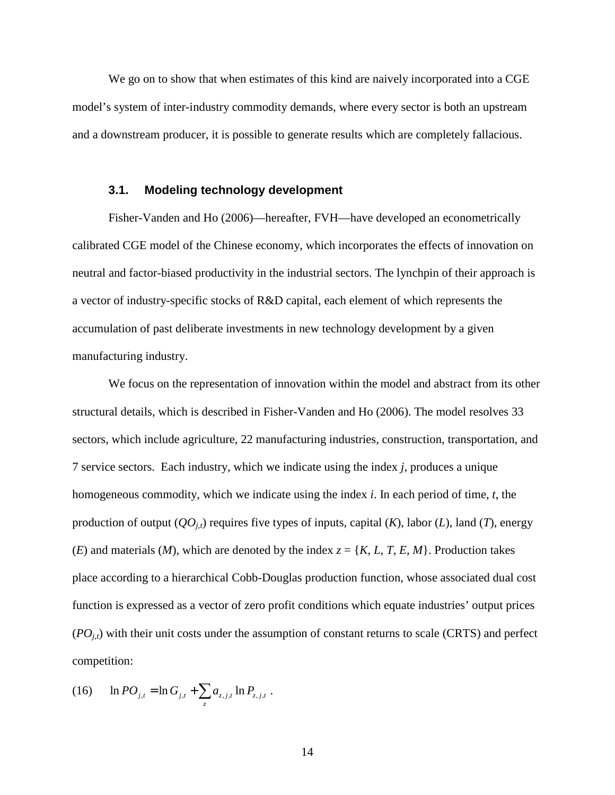We go on to show that when estimates of this kind are naively incorporated into a CGE model's system of inter-industry commodity demands, where every sector is both an upstream and a downstream producer, it is possible to generate results which are completely fallacious.

#### **3.1. Modeling technology development**

Fisher-Vanden and Ho (2006)—hereafter, FVH—have developed an econometrically calibrated CGE model of the Chinese economy, which incorporates the effects of innovation on neutral and factor-biased productivity in the industrial sectors. The lynchpin of their approach is a vector of industry-specific stocks of R&D capital, each element of which represents the accumulation of past deliberate investments in new technology development by a given manufacturing industry.

We focus on the representation of innovation within the model and abstract from its other structural details, which is described in Fisher-Vanden and Ho (2006). The model resolves 33 sectors, which include agriculture, 22 manufacturing industries, construction, transportation, and 7 service sectors. Each industry, which we indicate using the index *j*, produces a unique homogeneous commodity, which we indicate using the index *i*. In each period of time, *t*, the production of output  $(QO<sub>i</sub>,t)$  requires five types of inputs, capital  $(K)$ , labor  $(L)$ , land  $(T)$ , energy (*E*) and materials (*M*), which are denoted by the index  $z = \{K, L, T, E, M\}$ . Production takes place according to a hierarchical Cobb-Douglas production function, whose associated dual cost function is expressed as a vector of zero profit conditions which equate industries' output prices  $(PO<sub>i,t</sub>)$  with their unit costs under the assumption of constant returns to scale (CRTS) and perfect competition:

(16) 
$$
\ln PO_{j,t} = \ln G_{j,t} + \sum_{z} a_{z,j,t} \ln P_{z,j,t}.
$$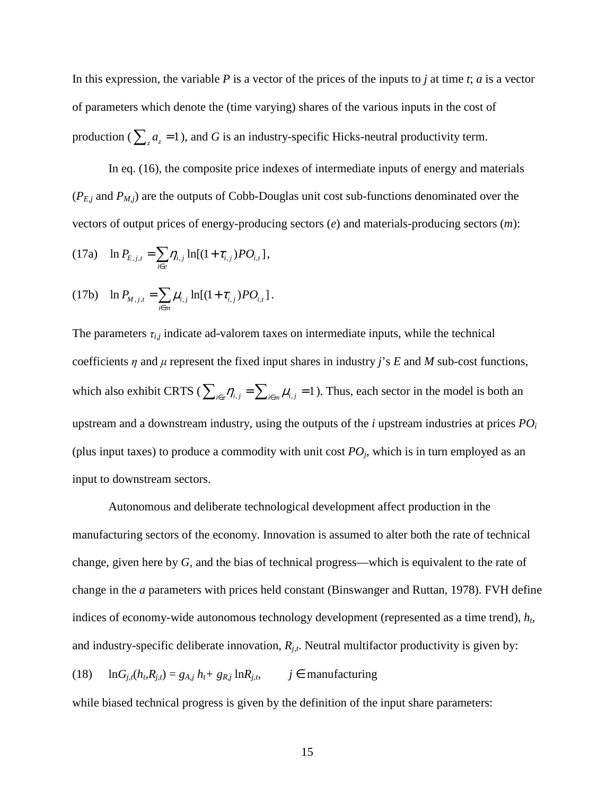In this expression, the variable *P* is a vector of the prices of the inputs to *j* at time *t*; *a* is a vector of parameters which denote the (time varying) shares of the various inputs in the cost of production ( $\sum_{z} a_z = 1$ ), and *G* is an industry-specific Hicks-neutral productivity term.

In eq. (16), the composite price indexes of intermediate inputs of energy and materials  $(P_{E,j}$  and  $P_{M,j}$ ) are the outputs of Cobb-Douglas unit cost sub-functions denominated over the vectors of output prices of energy-producing sectors (*e*) and materials-producing sectors (*m*):

(17a) 
$$
\ln P_{E,j,t} = \sum_{i \in e} \eta_{i,j} \ln[(1 + \tau_{i,j})PO_{i,t}],
$$

(17b) 
$$
\ln P_{M,j,t} = \sum_{i \in m} \mu_{i,j} \ln[(1 + \tau_{i,j})P O_{i,t}].
$$

The parameters  $\tau_{i,j}$  indicate ad-valorem taxes on intermediate inputs, while the technical coefficients  $\eta$  and  $\mu$  represent the fixed input shares in industry *j*'s *E* and *M* sub-cost functions, which also exhibit CRTS ( $\sum_{i \in e} \eta_{i,j} = \sum_{i \in m} \mu_{i,j} = 1$ ). Thus, each sector in the model is both an upstream and a downstream industry, using the outputs of the *i* upstream industries at prices *PO<sup>i</sup>* (plus input taxes) to produce a commodity with unit cost  $PO_j$ , which is in turn employed as an input to downstream sectors.

Autonomous and deliberate technological development affect production in the manufacturing sectors of the economy. Innovation is assumed to alter both the rate of technical change, given here by *G*, and the bias of technical progress—which is equivalent to the rate of change in the *a* parameters with prices held constant (Binswanger and Ruttan, 1978). FVH define indices of economy-wide autonomous technology development (represented as a time trend), *h<sup>t</sup>* , and industry-specific deliberate innovation, *Rj,t*. Neutral multifactor productivity is given by:

(18)  $\ln G_{j,t}(h_t, R_{j,t}) = g_{A,j} h_t + g_{R,j} \ln R_{j,t}, \qquad j \in \text{manufacturing}$ 

while biased technical progress is given by the definition of the input share parameters: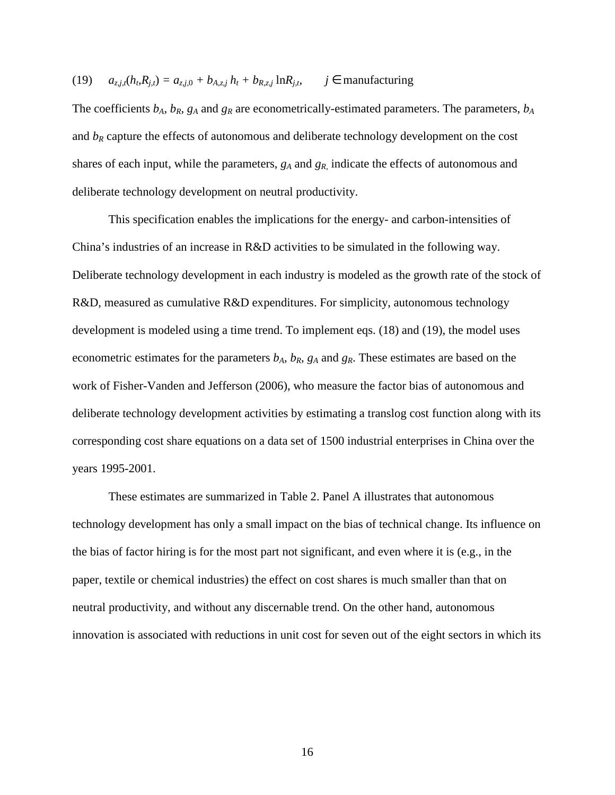(19) 
$$
a_{z,j,t}(h_i, R_{j,t}) = a_{z,j,0} + b_{A,z,j} h_t + b_{R,z,j} \ln R_{j,t}, \quad j \in \text{manufacturing}
$$

The coefficients  $b_A$ ,  $b_R$ ,  $g_A$  and  $g_R$  are econometrically-estimated parameters. The parameters,  $b_A$ and  $b_R$  capture the effects of autonomous and deliberate technology development on the cost shares of each input, while the parameters, *gA* and *gR,* indicate the effects of autonomous and deliberate technology development on neutral productivity.

This specification enables the implications for the energy- and carbon-intensities of China's industries of an increase in R&D activities to be simulated in the following way. Deliberate technology development in each industry is modeled as the growth rate of the stock of R&D, measured as cumulative R&D expenditures. For simplicity, autonomous technology development is modeled using a time trend. To implement eqs. (18) and (19), the model uses econometric estimates for the parameters  $b_A$ ,  $b_R$ ,  $g_A$  and  $g_R$ . These estimates are based on the work of Fisher-Vanden and Jefferson (2006), who measure the factor bias of autonomous and deliberate technology development activities by estimating a translog cost function along with its corresponding cost share equations on a data set of 1500 industrial enterprises in China over the years 1995-2001.

These estimates are summarized in Table 2. Panel A illustrates that autonomous technology development has only a small impact on the bias of technical change. Its influence on the bias of factor hiring is for the most part not significant, and even where it is (e.g., in the paper, textile or chemical industries) the effect on cost shares is much smaller than that on neutral productivity, and without any discernable trend. On the other hand, autonomous innovation is associated with reductions in unit cost for seven out of the eight sectors in which its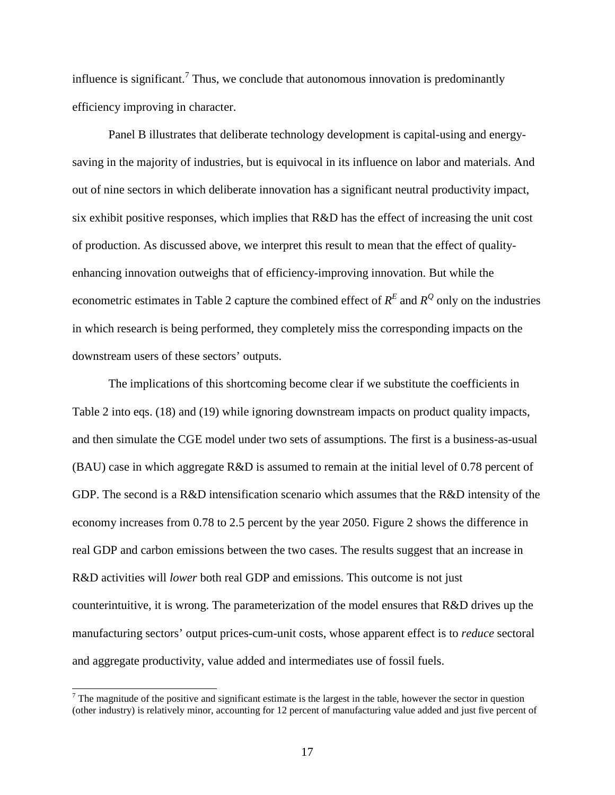influence is significant.<sup>7</sup> Thus, we conclude that autonomous innovation is predominantly efficiency improving in character.

Panel B illustrates that deliberate technology development is capital-using and energysaving in the majority of industries, but is equivocal in its influence on labor and materials. And out of nine sectors in which deliberate innovation has a significant neutral productivity impact, six exhibit positive responses, which implies that R&D has the effect of increasing the unit cost of production. As discussed above, we interpret this result to mean that the effect of qualityenhancing innovation outweighs that of efficiency-improving innovation. But while the econometric estimates in Table 2 capture the combined effect of  $R<sup>E</sup>$  and  $R<sup>Q</sup>$  only on the industries in which research is being performed, they completely miss the corresponding impacts on the downstream users of these sectors' outputs.

The implications of this shortcoming become clear if we substitute the coefficients in Table 2 into eqs. (18) and (19) while ignoring downstream impacts on product quality impacts, and then simulate the CGE model under two sets of assumptions. The first is a business-as-usual (BAU) case in which aggregate R&D is assumed to remain at the initial level of 0.78 percent of GDP. The second is a R&D intensification scenario which assumes that the R&D intensity of the economy increases from 0.78 to 2.5 percent by the year 2050. Figure 2 shows the difference in real GDP and carbon emissions between the two cases. The results suggest that an increase in R&D activities will *lower* both real GDP and emissions. This outcome is not just counterintuitive, it is wrong. The parameterization of the model ensures that R&D drives up the manufacturing sectors' output prices-cum-unit costs, whose apparent effect is to *reduce* sectoral and aggregate productivity, value added and intermediates use of fossil fuels.

 $\overline{a}$ 

 $<sup>7</sup>$  The magnitude of the positive and significant estimate is the largest in the table, however the sector in question</sup> (other industry) is relatively minor, accounting for 12 percent of manufacturing value added and just five percent of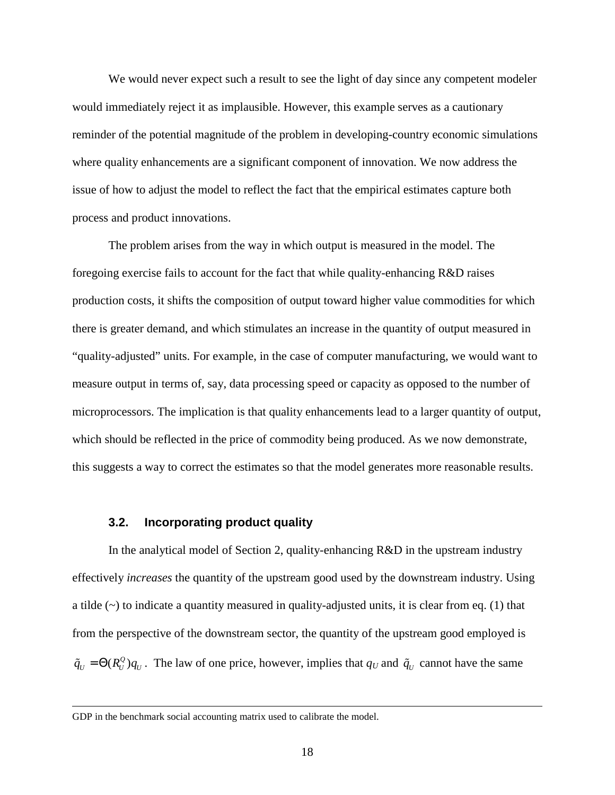We would never expect such a result to see the light of day since any competent modeler would immediately reject it as implausible. However, this example serves as a cautionary reminder of the potential magnitude of the problem in developing-country economic simulations where quality enhancements are a significant component of innovation. We now address the issue of how to adjust the model to reflect the fact that the empirical estimates capture both process and product innovations.

The problem arises from the way in which output is measured in the model. The foregoing exercise fails to account for the fact that while quality-enhancing R&D raises production costs, it shifts the composition of output toward higher value commodities for which there is greater demand, and which stimulates an increase in the quantity of output measured in "quality-adjusted" units. For example, in the case of computer manufacturing, we would want to measure output in terms of, say, data processing speed or capacity as opposed to the number of microprocessors. The implication is that quality enhancements lead to a larger quantity of output, which should be reflected in the price of commodity being produced. As we now demonstrate, this suggests a way to correct the estimates so that the model generates more reasonable results.

#### **3.2. Incorporating product quality**

In the analytical model of Section 2, quality-enhancing R&D in the upstream industry effectively *increases* the quantity of the upstream good used by the downstream industry. Using a tilde  $(\sim)$  to indicate a quantity measured in quality-adjusted units, it is clear from eq. (1) that from the perspective of the downstream sector, the quantity of the upstream good employed is  $\tilde{q}_U = \Theta(R_U^Q) q_U$ . The law of one price, however, implies that  $q_U$  and  $\tilde{q}_U$  cannot have the same

 $\overline{a}$ 

GDP in the benchmark social accounting matrix used to calibrate the model.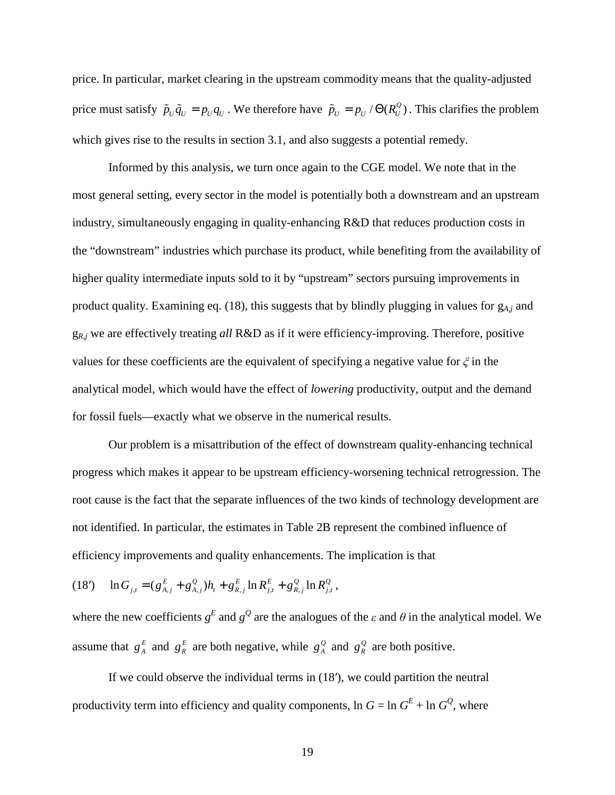price. In particular, market clearing in the upstream commodity means that the quality-adjusted price must satisfy  $\tilde{p}_U \tilde{q}_U = p_U q_U$ . We therefore have  $\tilde{p}_U = p_U / \Theta(R_U^Q)$ . This clarifies the problem which gives rise to the results in section 3.1, and also suggests a potential remedy.

Informed by this analysis, we turn once again to the CGE model. We note that in the most general setting, every sector in the model is potentially both a downstream and an upstream industry, simultaneously engaging in quality-enhancing R&D that reduces production costs in the "downstream" industries which purchase its product, while benefiting from the availability of higher quality intermediate inputs sold to it by "upstream" sectors pursuing improvements in product quality. Examining eq. (18), this suggests that by blindly plugging in values for g*A,j* and g*R,j* we are effectively treating *all* R&D as if it were efficiency-improving. Therefore, positive values for these coefficients are the equivalent of specifying a negative value for  $\xi$  in the analytical model, which would have the effect of *lowering* productivity, output and the demand for fossil fuels—exactly what we observe in the numerical results.

Our problem is a misattribution of the effect of downstream quality-enhancing technical progress which makes it appear to be upstream efficiency-worsening technical retrogression. The root cause is the fact that the separate influences of the two kinds of technology development are not identified. In particular, the estimates in Table 2B represent the combined influence of efficiency improvements and quality enhancements. The implication is that

$$
(18') \quad \ln G_{j,t} = (g_{A,j}^E + g_{A,j}^Q)h_t + g_{R,j}^E \ln R_{j,t}^E + g_{R,j}^Q \ln R_{j,t}^Q,
$$

where the new coefficients  $g^E$  and  $g^Q$  are the analogues of the  $\varepsilon$  and  $\theta$  in the analytical model. We assume that  $g_A^E$  and  $g_R^E$  are both negative, while  $g_A^Q$  and  $g_R^Q$  are both positive.

If we could observe the individual terms in (18′), we could partition the neutral productivity term into efficiency and quality components,  $\ln G = \ln G^E + \ln G^Q$ , where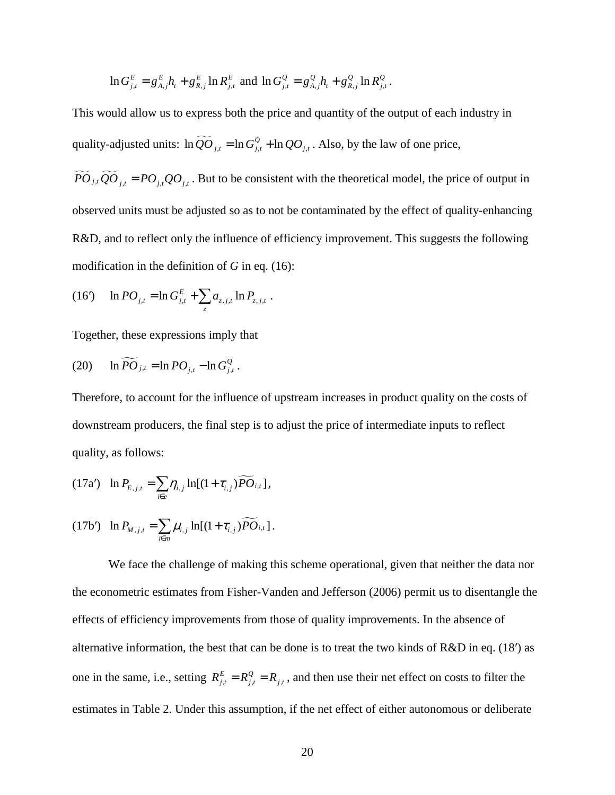$$
\ln G_{j,t}^{E} = g_{A,j}^{E} h_{t} + g_{R,j}^{E} \ln R_{j,t}^{E} \text{ and } \ln G_{j,t}^{Q} = g_{A,j}^{Q} h_{t} + g_{R,j}^{Q} \ln R_{j,t}^{Q}.
$$

This would allow us to express both the price and quantity of the output of each industry in quality-adjusted units:  $\ln \widetilde{QO}_{j,t} = \ln G_{j,t}^Q + \ln QO_{j,t}$ . Also, by the law of one price,

 $\widetilde{PO}_{j,t}\widetilde{QO}_{j,t} = PO_{j,t}QQ_{j,t}$ . But to be consistent with the theoretical model, the price of output in observed units must be adjusted so as to not be contaminated by the effect of quality-enhancing R&D, and to reflect only the influence of efficiency improvement. This suggests the following modification in the definition of *G* in eq. (16):

(16') 
$$
\ln PO_{j,t} = \ln G_{j,t}^E + \sum_z a_{z,j,t} \ln P_{z,j,t}
$$
.

Together, these expressions imply that

(20) 
$$
\ln \widetilde{PO}_{j,t} = \ln PO_{j,t} - \ln G_{j,t}^Q.
$$

Therefore, to account for the influence of upstream increases in product quality on the costs of downstream producers, the final step is to adjust the price of intermediate inputs to reflect quality, as follows:

$$
(17a') \quad \ln P_{E,j,t} = \sum_{i \in e} \eta_{i,j} \ln[(1+\tau_{i,j})\widetilde{PO}_{i,t}],
$$

(17b') 
$$
\ln P_{M,j,t} = \sum_{i \in m} \mu_{i,j} \ln[(1 + \tau_{i,j}) \widetilde{PO}_{i,t}].
$$

We face the challenge of making this scheme operational, given that neither the data nor the econometric estimates from Fisher-Vanden and Jefferson (2006) permit us to disentangle the effects of efficiency improvements from those of quality improvements. In the absence of alternative information, the best that can be done is to treat the two kinds of R&D in eq. (18′) as one in the same, i.e., setting  $R_{j,t}^E = R_{j,t}^Q = R_{j,t}$ , and then use their net effect on costs to filter the estimates in Table 2. Under this assumption, if the net effect of either autonomous or deliberate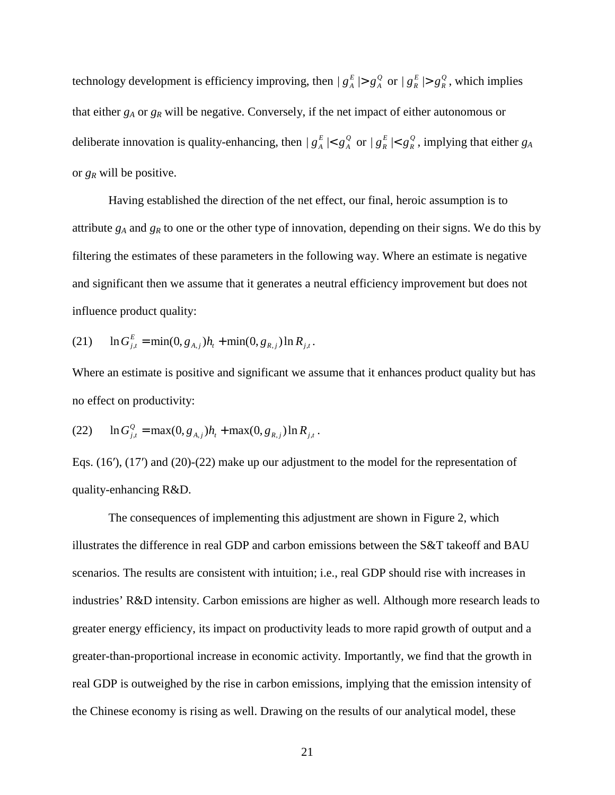technology development is efficiency improving, then  $|g_A^E| > g_A^Q$  or  $|g_R^E| > g_R^Q$ , which implies that either *gA* or *gR* will be negative. Conversely, if the net impact of either autonomous or deliberate innovation is quality-enhancing, then  $|g_A^E| < g_A^Q$  or  $|g_R^E| < g_R^Q$ , implying that either  $g_A$ or *gR* will be positive.

Having established the direction of the net effect, our final, heroic assumption is to attribute *gA* and *gR* to one or the other type of innovation, depending on their signs. We do this by filtering the estimates of these parameters in the following way. Where an estimate is negative and significant then we assume that it generates a neutral efficiency improvement but does not influence product quality:

(21) 
$$
\ln G_{j,t}^{E} = \min(0, g_{A,j})h_t + \min(0, g_{R,j}) \ln R_{j,t}.
$$

Where an estimate is positive and significant we assume that it enhances product quality but has no effect on productivity:

(22) 
$$
\ln G_{j,t}^Q = \max(0, g_{A,j})h_t + \max(0, g_{R,j})\ln R_{j,t}.
$$

Eqs. (16′), (17′) and (20)-(22) make up our adjustment to the model for the representation of quality-enhancing R&D.

The consequences of implementing this adjustment are shown in Figure 2, which illustrates the difference in real GDP and carbon emissions between the S&T takeoff and BAU scenarios. The results are consistent with intuition; i.e., real GDP should rise with increases in industries' R&D intensity. Carbon emissions are higher as well. Although more research leads to greater energy efficiency, its impact on productivity leads to more rapid growth of output and a greater-than-proportional increase in economic activity. Importantly, we find that the growth in real GDP is outweighed by the rise in carbon emissions, implying that the emission intensity of the Chinese economy is rising as well. Drawing on the results of our analytical model, these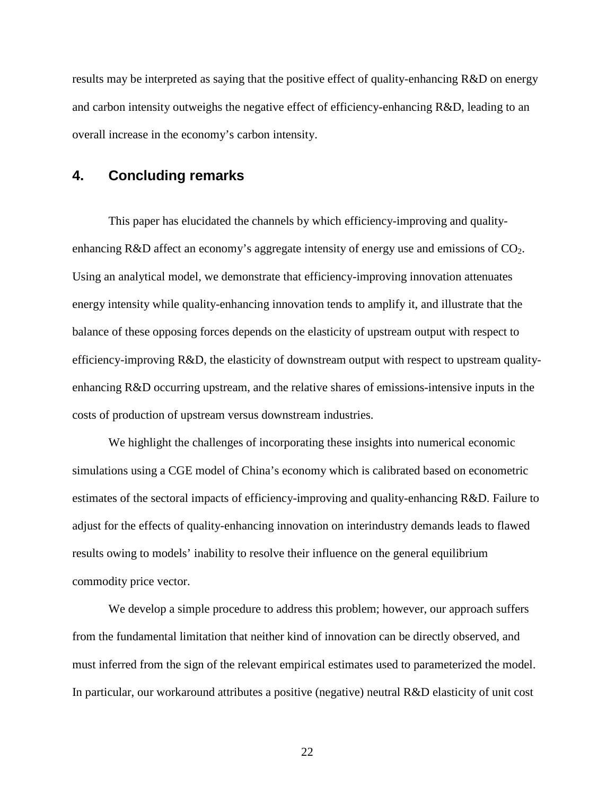results may be interpreted as saying that the positive effect of quality-enhancing R&D on energy and carbon intensity outweighs the negative effect of efficiency-enhancing R&D, leading to an overall increase in the economy's carbon intensity.

## **4. Concluding remarks**

This paper has elucidated the channels by which efficiency-improving and qualityenhancing R&D affect an economy's aggregate intensity of energy use and emissions of  $CO<sub>2</sub>$ . Using an analytical model, we demonstrate that efficiency-improving innovation attenuates energy intensity while quality-enhancing innovation tends to amplify it, and illustrate that the balance of these opposing forces depends on the elasticity of upstream output with respect to efficiency-improving R&D, the elasticity of downstream output with respect to upstream qualityenhancing R&D occurring upstream, and the relative shares of emissions-intensive inputs in the costs of production of upstream versus downstream industries.

We highlight the challenges of incorporating these insights into numerical economic simulations using a CGE model of China's economy which is calibrated based on econometric estimates of the sectoral impacts of efficiency-improving and quality-enhancing R&D. Failure to adjust for the effects of quality-enhancing innovation on interindustry demands leads to flawed results owing to models' inability to resolve their influence on the general equilibrium commodity price vector.

We develop a simple procedure to address this problem; however, our approach suffers from the fundamental limitation that neither kind of innovation can be directly observed, and must inferred from the sign of the relevant empirical estimates used to parameterized the model. In particular, our workaround attributes a positive (negative) neutral R&D elasticity of unit cost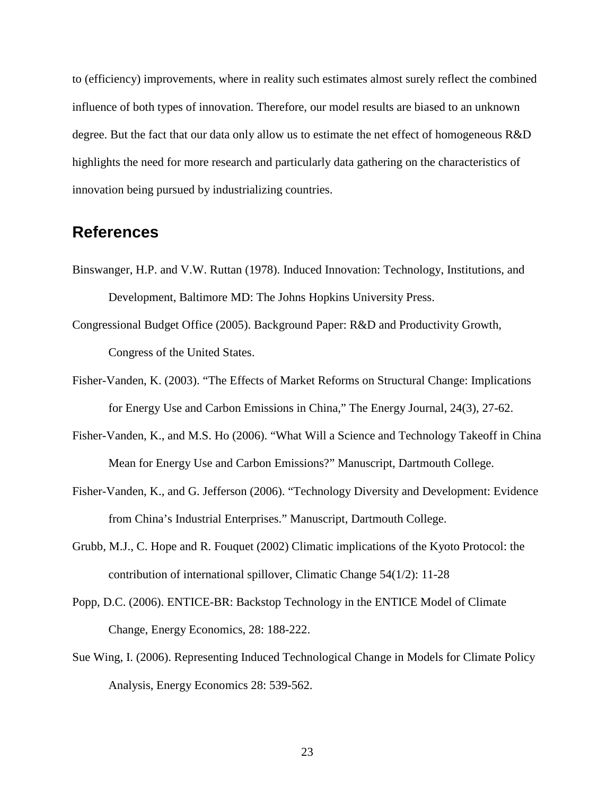to (efficiency) improvements, where in reality such estimates almost surely reflect the combined influence of both types of innovation. Therefore, our model results are biased to an unknown degree. But the fact that our data only allow us to estimate the net effect of homogeneous R&D highlights the need for more research and particularly data gathering on the characteristics of innovation being pursued by industrializing countries.

# **References**

- Binswanger, H.P. and V.W. Ruttan (1978). Induced Innovation: Technology, Institutions, and Development, Baltimore MD: The Johns Hopkins University Press.
- Congressional Budget Office (2005). Background Paper: R&D and Productivity Growth, Congress of the United States.
- Fisher-Vanden, K. (2003). "The Effects of Market Reforms on Structural Change: Implications for Energy Use and Carbon Emissions in China," The Energy Journal, 24(3), 27-62.
- Fisher-Vanden, K., and M.S. Ho (2006). "What Will a Science and Technology Takeoff in China Mean for Energy Use and Carbon Emissions?" Manuscript, Dartmouth College.
- Fisher-Vanden, K., and G. Jefferson (2006). "Technology Diversity and Development: Evidence from China's Industrial Enterprises." Manuscript, Dartmouth College.
- Grubb, M.J., C. Hope and R. Fouquet (2002) Climatic implications of the Kyoto Protocol: the contribution of international spillover, Climatic Change 54(1/2): 11-28
- Popp, D.C. (2006). ENTICE-BR: Backstop Technology in the ENTICE Model of Climate Change, Energy Economics, 28: 188-222.
- Sue Wing, I. (2006). Representing Induced Technological Change in Models for Climate Policy Analysis, Energy Economics 28: 539-562.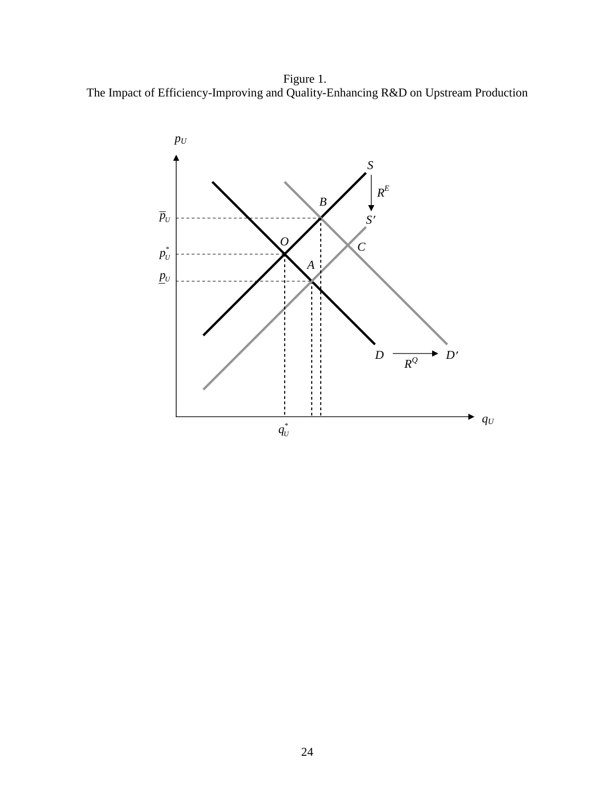Figure 1. The Impact of Efficiency-Improving and Quality-Enhancing R&D on Upstream Production

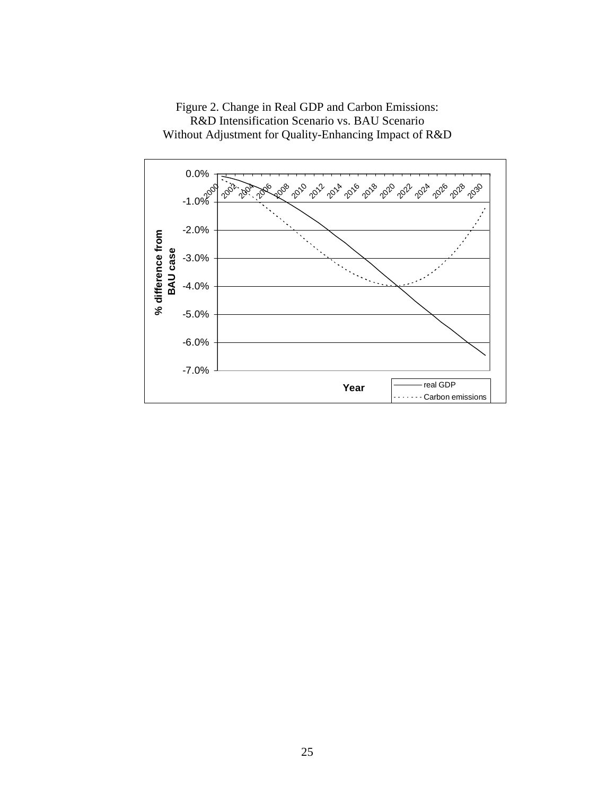

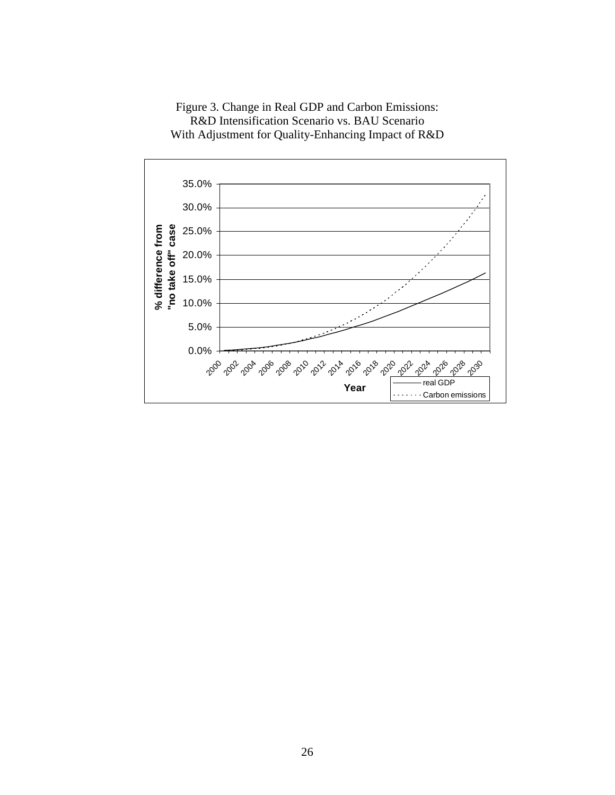Figure 3. Change in Real GDP and Carbon Emissions: R&D Intensification Scenario vs. BAU Scenario With Adjustment for Quality-Enhancing Impact of R&D

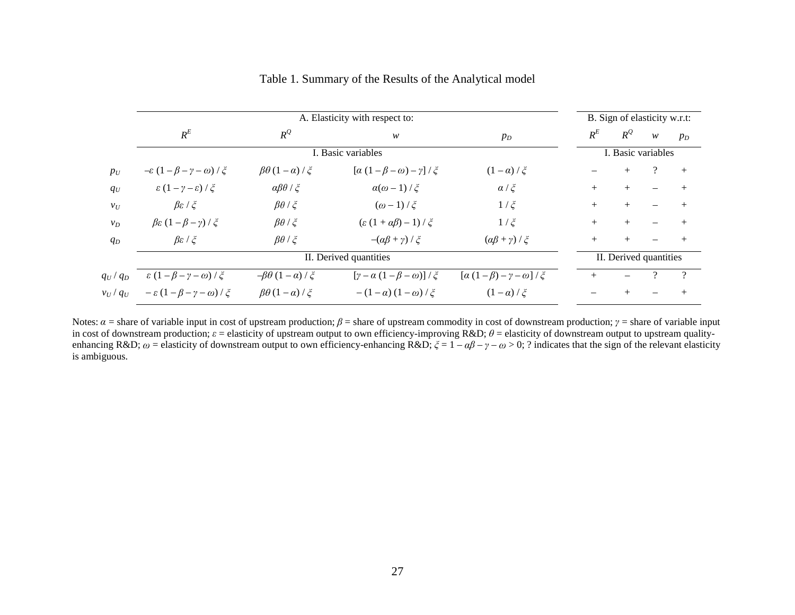|               | A. Elasticity with respect to:                 |                                |                                                            |                                            |        |        | B. Sign of elasticity w.r.t: |        |  |  |
|---------------|------------------------------------------------|--------------------------------|------------------------------------------------------------|--------------------------------------------|--------|--------|------------------------------|--------|--|--|
|               | $R^E$                                          | $R^Q$                          | w                                                          | $p_D$                                      | $R^E$  | $R^Q$  | W                            | $p_D$  |  |  |
|               | I. Basic variables                             |                                |                                                            |                                            |        |        | I. Basic variables           |        |  |  |
| $p_U$         | $-\varepsilon (1-\beta-\gamma-\omega)/\zeta$   | $\beta\theta(1-\alpha)/\xi$    | $[\alpha (1 - \beta - \omega) - \gamma] / \xi$             | $(1-\alpha)/\xi$                           |        | $+$    |                              | $+$    |  |  |
| $q_U$         | $\varepsilon(1-\gamma-\varepsilon)/\xi$        | $\alpha\beta\theta/\xi$        | $\alpha(\omega-1)/\zeta$                                   | $\alpha/\xi$                               | $+$    | $^{+}$ |                              | $^{+}$ |  |  |
| $v_U$         | $\beta \varepsilon / \xi$                      | $\beta\theta/\xi$              | $(\omega-1)/\zeta$                                         | $1/\xi$                                    | $+$    | $^{+}$ |                              | $^{+}$ |  |  |
| $v_D$         | $\beta \varepsilon (1-\beta-\gamma)/\xi$       | $\beta\theta$ / $\xi$          | $\left(\varepsilon\left(1+\alpha\beta\right)-1\right)/\xi$ | $1/\xi$                                    | $+$    | $^{+}$ |                              | $^{+}$ |  |  |
| $q_D$         | $\beta \varepsilon / \xi$                      | $\beta\theta/\xi$              | $-(\alpha\beta+\gamma)/\zeta$                              | $(\alpha\beta + \gamma) / \xi$             | $+$    |        |                              |        |  |  |
|               | II. Derived quantities                         |                                |                                                            |                                            |        |        | II. Derived quantities       |        |  |  |
| $q_U/q_D$     | $\epsilon (1 - \beta - \gamma - \omega) / \xi$ | $-\beta\theta(1-\alpha)/\zeta$ | $[\gamma - \alpha (1 - \beta - \omega)] / \xi$             | $[\alpha (1-\beta) - \gamma - \omega]/\xi$ | $^{+}$ |        |                              |        |  |  |
| $v_U$ / $q_U$ | $-\varepsilon(1-\beta-\gamma-\omega)/\xi$      | $\beta\theta(1-\alpha)/\xi$    | $-(1-\alpha)(1-\omega)/\zeta$                              | $(1-\alpha)/\xi$                           |        |        |                              | $^{+}$ |  |  |

## Table 1. Summary of the Results of the Analytical model

Notes:  $\alpha$  = share of variable input in cost of upstream production;  $\beta$  = share of upstream commodity in cost of downstream production;  $\gamma$  = share of variable input in cost of downstream production;  $\varepsilon$  = elasticity of upstream output to own efficiency-improving R&D;  $\theta$  = elasticity of downstream output to upstream qualityenhancing R&D;  $\omega$  = elasticity of downstream output to own efficiency-enhancing R&D;  $\xi = 1 - \alpha\beta - \gamma - \omega > 0$ ; ? indicates that the sign of the relevant elasticity is ambiguous.